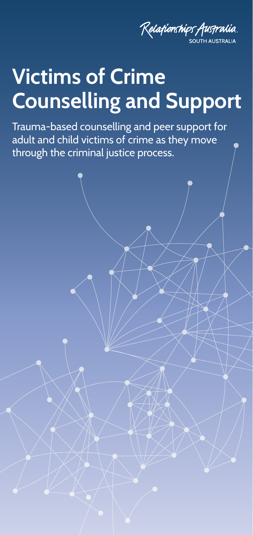

## **Victims of Crime Counselling and Support**

Trauma-based counselling and peer support for adult and child victims of crime as they move through the criminal justice process.